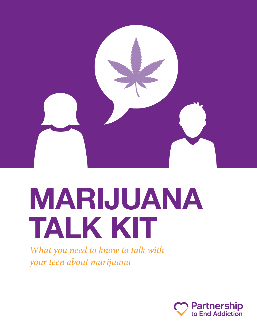

# **MARIJUANA TALK KIT**

*What you need to know to talk with your teen about marijuana*

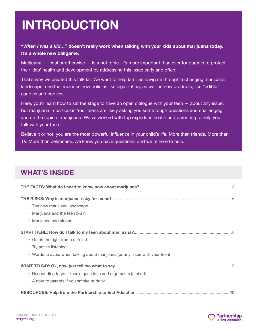# **INTRODUCTION INTRODUCTION**

#### **"***When I was a kid…***" doesn't really work when talking with your kids about marijuana today. It's a whole new ballgame.**

Marijuana — legal or otherwise — is a hot topic. It's more important than ever for parents to protect their kids' health and development by addressing this issue early and often.

That's why we created this talk kit. We want to help families navigate through a changing marijuana landscape; one that includes new policies like legalization, as well as new products, like "edible" candies and cookies.

Here, you'll learn how to set the stage to have an open dialogue with your teen — about any issue, but marijuana in particular. Your teens are likely asking you some tough questions and challenging you on the topic of marijuana. We've worked with top experts in health and parenting to help you talk with your teen.

Believe it or not, you are the most powerful influence in your child's life. More than friends. More than TV. More than celebrities. We know you have questions, and we're here to help.

# **WHAT'S INSIDE**

| • The new marijuana landscape                                               |
|-----------------------------------------------------------------------------|
| • Marijuana and the teen brain                                              |
| • Marijuana and alcohol                                                     |
|                                                                             |
| • Get in the right frame of mind                                            |
| • Try active listening                                                      |
| • Words to avoid when talking about marijuana (or any issue with your teen) |
|                                                                             |
| • Responding to your teen's questions and arguments [a chart]               |
| • A note to parents if you smoke or drink                                   |
|                                                                             |

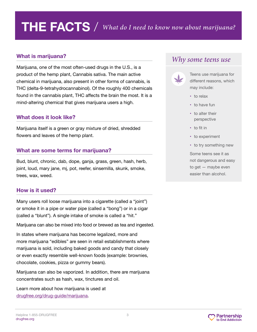# **THE FACTS** / *What do I need to know now about marijuana?*

#### **What is marijuana?**

Marijuana, one of the most often-used drugs in the U.S., is a product of the hemp plant, Cannabis sativa. The main active chemical in marijuana, also present in other forms of cannabis, is THC (delta-9-tetrahydrocannabinol). Of the roughly 400 chemicals found in the cannabis plant, THC affects the brain the most. It is a mind-altering chemical that gives marijuana users a high.

#### **What does it look like?**

Marijuana itself is a green or gray mixture of dried, shredded flowers and leaves of the hemp plant.

#### **What are some terms for marijuana?**

Bud, blunt, chronic, dab, dope, ganja, grass, green, hash, herb, joint, loud, mary jane, mj, pot, reefer, sinsemilla, skunk, smoke, trees, wax, weed.

#### **How is it used?**

Many users roll loose marijuana into a cigarette (called a "joint") or smoke it in a pipe or water pipe (called a "bong") or in a cigar (called a "blunt"). A single intake of smoke is called a "hit."

Marijuana can also be mixed into food or brewed as tea and ingested.

In states where marijuana has become legalized, more and more marijuana "edibles" are seen in retail establishments where marijuana is sold, including baked goods and candy that closely or even exactly resemble well-known foods (example: brownies, chocolate, cookies, pizza or gummy bears).

Marijuana can also be vaporized. In addition, there are marijuana concentrates such as hash, wax, tinctures and oil.

Learn more about how marijuana is used at [drugfree.org/drug-guide/marijuana.](https://drugfree.org/drugs/marijuana/)

### *Why some teens use*



Teens use marijuana for different reasons, which may include:

- **•**  to relax
- **•** to have fun
- **•** to alter their perspective
- **•** to fit in
- **•** to experiment
- **•** to try something new

Some teens see it as not dangerous and easy to get — maybe even easier than alcohol.

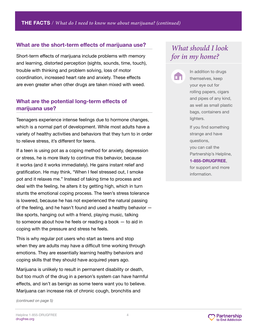#### **What are the short-term effects of marijuana use?**

Short-term effects of marijuana include problems with memory and learning, distorted perception (sights, sounds, time, touch), trouble with thinking and problem solving, loss of motor coordination, increased heart rate and anxiety. These effects are even greater when other drugs are taken mixed with weed.

#### **What are the potential long-term effects of marijuana use?**

Teenagers experience intense feelings due to hormone changes, which is a normal part of development. While most adults have a variety of healthy activities and behaviors that they turn to in order to relieve stress, it's different for teens.

If a teen is using pot as a coping method for anxiety, depression or stress, he is more likely to continue this behavior, because it works (and it works immediately). He gains instant relief and gratification. He may think, "When I feel stressed out, I smoke pot and it relaxes me." Instead of taking time to process and deal with the feeling, he alters it by getting high, which in turn stunts the emotional coping process. The teen's stress tolerance is lowered, because he has not experienced the natural passing of the feeling, and he hasn't found and used a healthy behavior like sports, hanging out with a friend, playing music, talking to someone about how he feels or reading a book — to aid in coping with the pressure and stress he feels.

This is why regular pot users who start as teens and stop when they are adults may have a difficult time working through emotions. They are essentially learning healthy behaviors and coping skills that they should have acquired years ago.

Marijuana is unlikely to result in permanent disability or death, but too much of the drug in a person's system can have harmful effects, and isn't as benign as some teens want you to believe. Marijuana can increase risk of chronic cough, bronchitis and

*(continued on page 5)*

# *What should I look for in my home?*



In addition to drugs themselves, keep your eye out for rolling papers, cigars and pipes of any kind, as well as small plastic bags, containers and lighters.

If you find something strange and have questions, you can call the Partnership's Helpline, **1-855-DRUGFREE**, for support and more information.

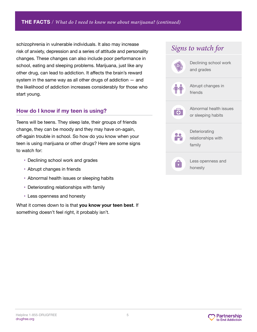schizophrenia in vulnerable individuals. It also may increase risk of anxiety, depression and a series of attitude and personality changes. These changes can also include poor performance in school, eating and sleeping problems. Marijuana, just like any other drug, can lead to addiction. It affects the brain's reward system in the same way as all other drugs of addiction — and the likelihood of addiction increases considerably for those who start young.

#### **How do I know if my teen is using?**

Teens will be teens. They sleep late, their groups of friends change, they can be moody and they may have on-again, off-again trouble in school. So how do you know when your teen is using marijuana or other drugs? Here are some signs to watch for:

- Declining school work and grades
- Abrupt changes in friends
- Abnormal health issues or sleeping habits
- Deteriorating relationships with family
- Less openness and honesty

What it comes down to is that **you know your teen best**. If something doesn't feel right, it probably isn't.

| Signs to watch for |                                               |  |
|--------------------|-----------------------------------------------|--|
|                    | Declining school work<br>and grades           |  |
|                    | Abrupt changes in<br>friends                  |  |
|                    | Abnormal health issues<br>or sleeping habits  |  |
| ╩                  | Deteriorating<br>relationships with<br>family |  |
|                    | Less openness and<br>honesty                  |  |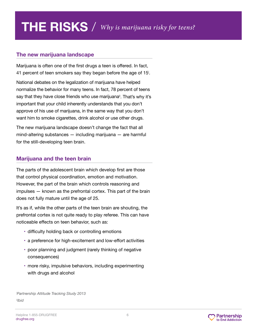#### **The new marijuana landscape**

Marijuana is often one of the first drugs a teen is offered. In fact, 41 percent of teen smokers say they began before the age of 15i .

National debates on the legalization of marijuana have helped normalize the behavior for many teens. In fact, 78 percent of teens say that they have close friends who use marijuana<sup>ii</sup>. That's why it's important that your child inherently understands that you don't approve of his use of marijuana, in the same way that you don't want him to smoke cigarettes, drink alcohol or use other drugs.

The new marijuana landscape doesn't change the fact that all mind-altering substances — including marijuana — are harmful for the still-developing teen brain.

#### **Marijuana and the teen brain**

The parts of the adolescent brain which develop first are those that control physical coordination, emotion and motivation. However, the part of the brain which controls reasoning and impulses — known as the prefrontal cortex. This part of the brain does not fully mature until the age of 25.

It's as if, while the other parts of the teen brain are shouting, the prefrontal cortex is not quite ready to play referee. This can have noticeable effects on teen behavior, such as:

- difficulty holding back or controlling emotions
- a preference for high-excitement and low-effort activities
- poor planning and judgment (rarely thinking of negative consequences)
- more risky, impulsive behaviors, including experimenting with drugs and alcohol

*i Partnership Attitude Tracking Study 2013 iiIbid*

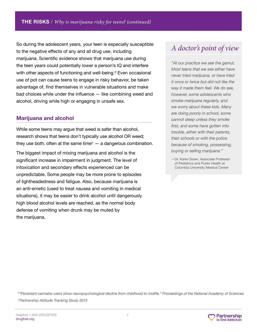So during the adolescent years, your teen is especially susceptible to the negative effects of any and all drug use, including marijuana. Scientific evidence shows that marijuana use during the teen years could potentially lower a person's IQ and interfere with other aspects of functioning and well-being.<sup>ii</sup> Even occasional use of pot can cause teens to engage in risky behavior, be taken advantage of, find themselves in vulnerable situations and make bad choices while under the influence — like combining weed and alcohol, driving while high or engaging in unsafe sex.

#### **Marijuana and alcohol**

While some teens may argue that weed is safer than alcohol, research shows that teens don't typically use alcohol OR weed; they use both, often at the same time $\mathbf{w} - \mathbf{a}$  dangerous combination.

The biggest impact of mixing marijuana and alcohol is the significant increase in impairment in judgment. The level of intoxication and secondary effects experienced can be unpredictable. Some people may be more prone to episodes of lightheadedness and fatigue. Also, because marijuana is an anti-emetic (used to treat nausea and vomiting in medical situations), it may be easier to drink alcohol until dangerously high blood alcohol levels are reached, as the normal body defense of vomiting when drunk may be muted by the marijuana.

# *A doctor's point of view*

*"At our practice we see the gamut. Most teens that we see either have never tried marijuana, or have tried it once or twice but did not like the way it made them feel. We do see, however, some adolescents who smoke marijuana regularly, and we worry about these kids. Many are doing poorly in school, some cannot sleep unless they smoke first, and some have gotten into trouble, either with their parents, their schools or with the police because of smoking, possessing, buying or selling marijuana."*

*iii"Persistent cannabis users show neuropsychological decline from childhood to midlife." Proceedings of the National Academy of Sciences ivPartnership Attitude Tracking Study 2013*



<sup>—</sup>Dr. Karen Soren, Associate Professor of Pediatrics and Public Health at Columbia University Medical Center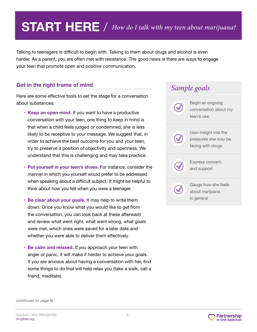# **START HERE** / *How do I talk with my teen about marijuana?*

Talking to teenagers is difficult to begin with. Talking to them about drugs and alcohol is even harder. As a parent, you are often met with resistance. The good news is there are ways to engage your teen that promote open and positive communication.

#### **Get in the right frame of mind**

Here are some effective tools to set the stage for a conversation about substances:

- **Keep an open mind.** If you want to have a productive conversation with your teen, one thing to keep in mind is that when a child feels judged or condemned, she is less likely to be receptive to your message. We suggest that, in order to achieve the best outcome for you and your teen, try to preserve a position of objectivity and openness. We understand that this is challenging and may take practice.
- **Put yourself in your teen's shoes.** For instance, consider the manner in which you yourself would prefer to be addressed when speaking about a difficult subject. It might be helpful to think about how you felt when you were a teenager.
- **Be clear about your goals.** It may help to write them down. Once you know what you would like to get from the conversation, you can look back at these afterward and review what went right, what went wrong, what goals were met, which ones were saved for a later date and whether you were able to deliver them effectively.
- **Be calm and relaxed.** If you approach your teen with anger or panic, it will make it harder to achieve your goals. If you are anxious about having a conversation with her, find some things to do that will help relax you (take a walk, call a friend, meditate).



*(continued on page 9)*

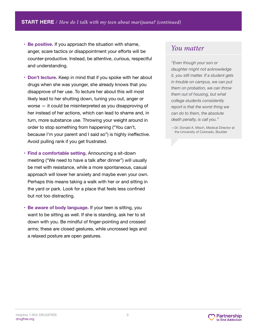- **Be positive.** If you approach the situation with shame, anger, scare tactics or disappointment your efforts will be counter-productive. Instead, be attentive, curious, respectful and understanding.
- **Don't lecture.** Keep in mind that if you spoke with her about drugs when she was younger, she already knows that you disapprove of her use. To lecture her about this will most likely lead to her shutting down, tuning you out, anger or worse — it could be misinterpreted as you disapproving of her instead of her actions, which can lead to shame and, in turn, more substance use. Throwing your weight around in order to stop something from happening ("You can't, because I'm your parent and I said so") is highly ineffective. Avoid pulling rank if you get frustrated.
- **Find a comfortable setting.** Announcing a sit-down meeting ("We need to have a talk after dinner") will usually be met with resistance, while a more spontaneous, casual approach will lower her anxiety and maybe even your own. Perhaps this means taking a walk with her or and sitting in the yard or park. Look for a place that feels less confined but not too distracting.
- **Be aware of body language.** If your teen is sitting, you want to be sitting as well. If she is standing, ask her to sit down with you. Be mindful of finger-pointing and crossed arms; these are closed gestures, while uncrossed legs and a relaxed posture are open gestures.

### *You matter*

*"Even though your son or daughter might not acknowledge it, you still matter. If a student gets in trouble on campus, we can put them on probation, we can throw them out of housing, but what college students consistently report is that the worst thing we can do to them, the absolute death penalty, is call you."*

—Dr. Donald A. Misch, Medical Director at the University of Colorado, Boulder

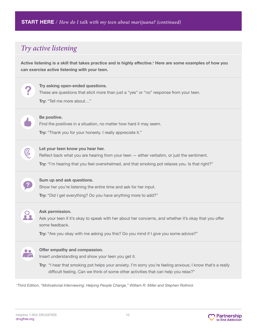# *Try active listening*

**Active listening is a skill that takes practice and is highly effective.<sup>v</sup> Here are some examples of how you can exercise active listening with your teen.**



*v Third Edition, "Motivational Interviewing: Helping People Change," William R. Miller and Stephen Rollnick*

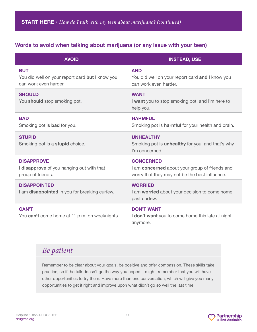#### **Words to avoid when talking about marijuana (or any issue with your teen)**

| <b>AVOID</b>                                                                           | <b>INSTEAD, USE</b>                                                                                                  |
|----------------------------------------------------------------------------------------|----------------------------------------------------------------------------------------------------------------------|
| <b>BUT</b><br>You did well on your report card but I know you<br>can work even harder. | <b>AND</b><br>You did well on your report card and I know you<br>can work even harder.                               |
| <b>SHOULD</b><br>You should stop smoking pot.                                          | <b>WANT</b><br>I want you to stop smoking pot, and I'm here to<br>help you.                                          |
| <b>BAD</b><br>Smoking pot is <b>bad</b> for you.                                       | <b>HARMFUL</b><br>Smoking pot is <b>harmful</b> for your health and brain.                                           |
| <b>STUPID</b><br>Smoking pot is a <b>stupid</b> choice.                                | <b>UNHEALTHY</b><br>Smoking pot is <b>unhealthy</b> for you, and that's why<br>I'm concerned.                        |
| <b>DISAPPROVE</b><br>I disapprove of you hanging out with that<br>group of friends.    | <b>CONCERNED</b><br>I am concerned about your group of friends and<br>worry that they may not be the best influence. |
| <b>DISAPPOINTED</b><br>I am disappointed in you for breaking curfew.                   | <b>WORRIED</b><br>I am worried about your decision to come home<br>past curfew.                                      |
| <b>CAN'T</b><br>You can't come home at 11 p.m. on weeknights.                          | <b>DON'T WANT</b><br>I don't want you to come home this late at night<br>anymore.                                    |

# *Be patient*

Remember to be clear about your goals, be positive and offer compassion. These skills take practice, so if the talk doesn't go the way you hoped it might, remember that you will have other opportunities to try them. Have more than one conversation, which will give you many opportunities to get it right and improve upon what didn't go so well the last time.

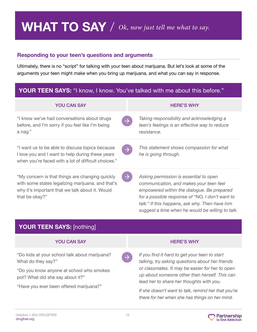# **WHAT TO SAY** / *Ok, now just tell me what to say.*

#### **Responding to your teen's questions and arguments**

Ultimately, there is no "script" for talking with your teen about marijuana. But let's look at some of the arguments your teen might make when you bring up marijuana, and what you can say in response.

### **YOUR TEEN SAYS:** "I know, I know. You've talked with me about this before."

| <b>YOU CAN SAY</b>                                                                                                                                                        |               | <b>HERE'S WHY</b>                                                                                                                                                                                                                    |
|---------------------------------------------------------------------------------------------------------------------------------------------------------------------------|---------------|--------------------------------------------------------------------------------------------------------------------------------------------------------------------------------------------------------------------------------------|
| "I know we've had conversations about drugs<br>before, and I'm sorry if you feel like I'm being<br>a nag."                                                                |               | Taking responsibility and acknowledging a<br>teen's feelings is an effective way to reduce<br>resistance.                                                                                                                            |
| "I want us to be able to discuss topics because<br>I love you and I want to help during these years<br>when you're faced with a lot of difficult choices."                | $\rightarrow$ | This statement shows compassion for what<br>he is going through.                                                                                                                                                                     |
| "My concern is that things are changing quickly<br>with some states legalizing marijuana, and that's<br>why it's important that we talk about it. Would<br>that be okay?" |               | Asking permission is essential to open<br>communication, and makes your teen feel<br>empowered within the dialogue. Be prepared<br>for a possible response of "NO, I don't want to<br>talk." If this happens, ask why. Then have him |

# **YOUR TEEN SAYS:** [nothing]

#### YOU CAN SAY HERE'S WHY

"Do kids at your school talk about marijuana? What do they say?"

"Do you know anyone at school who smokes pot? What did she say about it?"

"Have you ever been offered marijuana?"

*suggest a time when he would be willing to talk.*

*If you find it hard to get your teen to start talking, try asking questions about her friends or classmates. It may be easier for her to open up about someone other than herself. This can lead her to share her thoughts with you.*

*If she doesn't want to talk, remind her that you're there for her when she has things on her mind.*

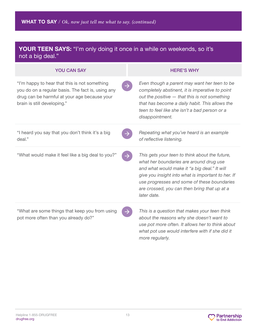### **YOUR TEEN SAYS:** "I'm only doing it once in a while on weekends, so it's not a big deal."

| <b>YOU CAN SAY</b>                                                                                                                                                                | <b>HERE'S WHY</b>                                                                                                                                                                                                                                                                                             |
|-----------------------------------------------------------------------------------------------------------------------------------------------------------------------------------|---------------------------------------------------------------------------------------------------------------------------------------------------------------------------------------------------------------------------------------------------------------------------------------------------------------|
| "I'm happy to hear that this is not something<br>you do on a regular basis. The fact is, using any<br>drug can be harmful at your age because your<br>brain is still developing." | Even though a parent may want her teen to be<br>completely abstinent, it is imperative to point<br>out the positive - that this is not something<br>that has become a daily habit. This allows the<br>teen to feel like she isn't a bad person or a<br>disappointment.                                        |
| "I heard you say that you don't think it's a big<br>deal."                                                                                                                        | Repeating what you've heard is an example<br>of reflective listening.                                                                                                                                                                                                                                         |
| "What would make it feel like a big deal to you?"                                                                                                                                 | This gets your teen to think about the future,<br>what her boundaries are around drug use<br>and what would make it "a big deal." It will<br>give you insight into what is important to her. If<br>use progresses and some of these boundaries<br>are crossed, you can then bring that up at a<br>later date. |
| "What are some things that keep you from using<br>pot more often than you already do?"                                                                                            | This is a question that makes your teen think<br>about the reasons why she doesn't want to<br>use pot more often. It allows her to think about<br>what pot use would interfere with if she did it<br>more regularly.                                                                                          |

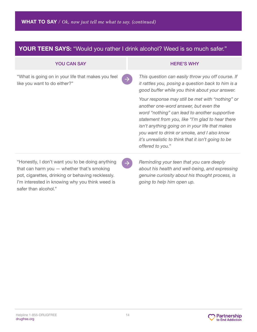# **YOUR TEEN SAYS:** "Would you rather I drink alcohol? Weed is so much safer."

| <b>YOU CAN SAY</b>                                                                                                                                                                                     |               | <b>HERE'S WHY</b>                                                                                                                                                                                                                                                                                                                                                           |
|--------------------------------------------------------------------------------------------------------------------------------------------------------------------------------------------------------|---------------|-----------------------------------------------------------------------------------------------------------------------------------------------------------------------------------------------------------------------------------------------------------------------------------------------------------------------------------------------------------------------------|
| "What is going on in your life that makes you feel<br>like you want to do either?"                                                                                                                     | $\rightarrow$ | This question can easily throw you off course. If<br>it rattles you, posing a question back to him is a<br>good buffer while you think about your answer.                                                                                                                                                                                                                   |
|                                                                                                                                                                                                        |               | Your response may still be met with "nothing" or<br>another one-word answer, but even the<br>word "nothing" can lead to another supportive<br>statement from you, like "I'm glad to hear there<br>isn't anything going on in your life that makes<br>you want to drink or smoke, and I also know<br>it's unrealistic to think that it isn't going to be<br>offered to you." |
| "Honestly, I don't want you to be doing anything<br>that can harm you - whether that's smoking<br>pot, cigarettes, drinking or behaving recklessly.<br>I'm interested in knowing why you think weed is | $\rightarrow$ | Reminding your teen that you care deeply<br>about his health and well-being, and expressing<br>genuine curiosity about his thought process, is<br>going to help him open up.                                                                                                                                                                                                |

safer than alcohol."

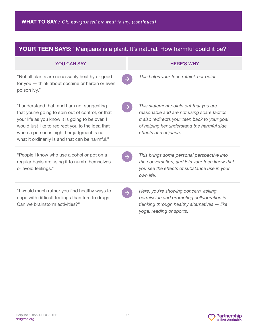# YOUR TEEN SAYS: "Marijuana is a plant. It's natural. How harmful could it be?"

| <b>YOU CAN SAY</b>                                                                                                                                                                                                                                                                                       | <b>HERE'S WHY</b>                                                                                                                                                                                             |
|----------------------------------------------------------------------------------------------------------------------------------------------------------------------------------------------------------------------------------------------------------------------------------------------------------|---------------------------------------------------------------------------------------------------------------------------------------------------------------------------------------------------------------|
| "Not all plants are necessarily healthy or good<br>for you - think about cocaine or heroin or even<br>poison ivy."                                                                                                                                                                                       | This helps your teen rethink her point.                                                                                                                                                                       |
| "I understand that, and I am not suggesting<br>that you're going to spin out of control, or that<br>your life as you know it is going to be over. I<br>would just like to redirect you to the idea that<br>when a person is high, her judgment is not<br>what it ordinarily is and that can be harmful." | This statement points out that you are<br>reasonable and are not using scare tactics.<br>It also redirects your teen back to your goal<br>of helping her understand the harmful side<br>effects of marijuana. |
| "People I know who use alcohol or pot on a<br>regular basis are using it to numb themselves<br>or avoid feelings."                                                                                                                                                                                       | This brings some personal perspective into<br>the conversation, and lets your teen know that<br>you see the effects of substance use in your<br>own life.                                                     |
| "I would much rather you find healthy ways to<br>cope with difficult feelings than turn to drugs.<br>Can we brainstorm activities?"                                                                                                                                                                      | Here, you're showing concern, asking<br>permission and promoting collaboration in<br>thinking through healthy alternatives - like<br>yoga, reading or sports.                                                 |

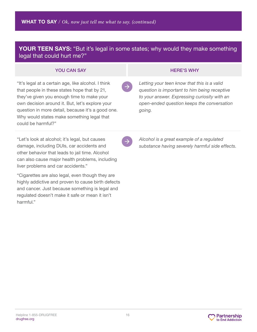#### **YOUR TEEN SAYS:** "But it's legal in some states; why would they make something legal that could hurt me?"

#### **YOU CAN SAY AND READ ASSESSMENT OF A SAMPLE SAY AND READ ASSESSMENT OF A SAMPLE SAY AND READ ASSESSMENT OF A SAMPLE SAY AND READ FOR A SAMPLE SAY AND READ FOR A SAMPLE SAY AND READ FOR A SAMPLE SAY AND READ FOR A SAMPLE S**

"It's legal at a certain age, like alcohol. I think that people in these states hope that by 21, they've given you enough time to make your own decision around it. But, let's explore your question in more detail, because it's a good one. Why would states make something legal that could be harmful?"

"Let's look at alcohol; it's legal, but causes damage, including DUIs, car accidents and other behavior that leads to jail time. Alcohol can also cause major health problems, including liver problems and car accidents."

"Cigarettes are also legal, even though they are highly addictive and proven to cause birth defects and cancer. Just because something is legal and regulated doesn't make it safe or mean it isn't harmful."

*Letting your teen know that this is a valid question is important to him being receptive to your answer. Expressing curiosity with an open-ended question keeps the conversation going.* 

*Alcohol is a great example of a regulated substance having severely harmful side effects.*

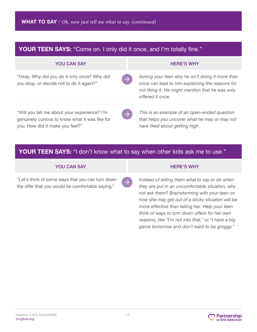| <b>YOUR TEEN SAYS:</b> "Come on. I only did it once, and I'm totally fine."                                                       |                                                                                                                                                                                              |  |
|-----------------------------------------------------------------------------------------------------------------------------------|----------------------------------------------------------------------------------------------------------------------------------------------------------------------------------------------|--|
| <b>YOU CAN SAY</b>                                                                                                                | <b>HERE'S WHY</b>                                                                                                                                                                            |  |
| "Okay. Why did you do it only once? Why did<br>you stop, or decide not to do it again?"                                           | Asking your teen why he isn't doing it more than<br>$\rightarrow$<br>once can lead to him explaining the reasons for<br>not liking it. He might mention that he was only<br>offered it once. |  |
| "Will you tell me about your experience? I'm<br>genuinely curious to know what it was like for<br>you. How did it make you feel?" | This is an example of an open-ended question<br>$\rightarrow$<br>that helps you uncover what he may or may not<br>have liked about getting high.                                             |  |

### **YOUR TEEN SAYS:** "I don't know what to say when other kids ask me to use."

#### **YOU CAN SAY A REALLY AND REALLY AND REALLY AND REALLY AND REALLY AND REALLY AND REALLY AND REALLY AND REALLY A**

"Let's think of some ways that you can turn down the offer that you would be comfortable saying."

*Instead of telling them what to say or do when they are put in an uncomfortable situation, why not ask them? Brainstorming with your teen on how she may get out of a sticky situation will be more effective than telling her. Help your teen think of ways to turn down offers for her own reasons, like "I'm not into that," or "I have a big game tomorrow and don't want to be groggy."* 

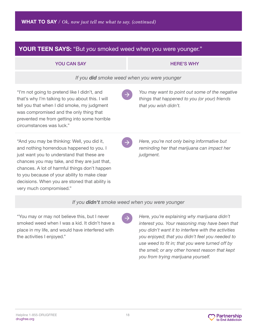| <b>YOUR TEEN SAYS:</b> "But you smoked weed when you were younger."                                                                                                                                                                                                                                                                                                   |                                                                                                                          |  |
|-----------------------------------------------------------------------------------------------------------------------------------------------------------------------------------------------------------------------------------------------------------------------------------------------------------------------------------------------------------------------|--------------------------------------------------------------------------------------------------------------------------|--|
| <b>YOU CAN SAY</b>                                                                                                                                                                                                                                                                                                                                                    | <b>HERE'S WHY</b>                                                                                                        |  |
| If you <b>did</b> smoke weed when you were younger                                                                                                                                                                                                                                                                                                                    |                                                                                                                          |  |
| "I'm not going to pretend like I didn't, and<br>that's why I'm talking to you about this. I will<br>tell you that when I did smoke, my judgment<br>was compromised and the only thing that<br>prevented me from getting into some horrible<br>circumstances was luck."                                                                                                | You may want to point out some of the negative<br>things that happened to you (or your) friends<br>that you wish didn't. |  |
| "And you may be thinking: Well, you did it,<br>and nothing horrendous happened to you. I<br>just want you to understand that these are<br>chances you may take, and they are just that,<br>chances. A lot of harmful things don't happen<br>to you because of your ability to make clear<br>decisions. When you are stoned that ability is<br>very much compromised." | Here, you're not only being informative but<br>reminding her that marijuana can impact her<br>judgment.                  |  |
| If you <b>didn't</b> smoke weed when you were younger                                                                                                                                                                                                                                                                                                                 |                                                                                                                          |  |
|                                                                                                                                                                                                                                                                                                                                                                       | $\blacksquare$                                                                                                           |  |

"You may or may not believe this, but I never smoked weed when I was a kid. It didn't have a place in my life, and would have interfered with the activities I enjoyed."

 $\rightarrow$ 

*Here, you're explaining why marijuana didn't interest you. Your reasoning may have been that you didn't want it to interfere with the activities you enjoyed; that you didn't feel you needed to use weed to fit in; that you were turned off by the smell; or any other honest reason that kept you from trying marijuana yourself.*

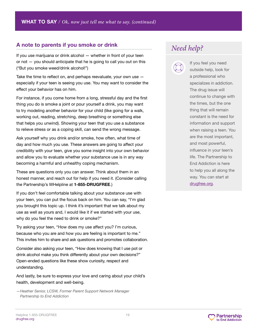#### **A note to parents if you smoke or drink**

If you use marijuana or drink alcohol — whether in front of your teen or not  $-$  you should anticipate that he is going to call you out on this ("But you smoke weed/drink alcohol!")

Take the time to reflect on, and perhaps reevaluate, your own use  $$ especially if your teen is seeing you use. You may want to consider the effect your behavior has on him.

For instance, if you come home from a long, stressful day and the first thing you do is smoke a joint or pour yourself a drink, you may want to try modeling another behavior for your child (like going for a walk, working out, reading, stretching, deep breathing or something else that helps you unwind). Showing your teen that you use a substance to relieve stress or as a coping skill, can send the wrong message.

Ask yourself why you drink and/or smoke, how often, what time of day and how much you use. These answers are going to affect your credibility with your teen, give you some insight into your own behavior and allow you to evaluate whether your substance use is in any way becoming a harmful and unhealthy coping mechanism.

These are questions only you can answer. Think about them in an honest manner, and reach out for help if you need it. (Consider calling the Partnership's WHelpline at **1-855-DRUGFREE**.)

If you don't feel comfortable talking about your substance use with your teen, you can put the focus back on him. You can say, "I'm glad you brought this topic up. I think it's important that we talk about my use as well as yours and, I would like it if we started with your use, why do you feel the need to drink or smoke?"

Try asking your teen, "How does my use affect you? I'm curious, because who you are and how you are feeling is important to me." This invites him to share and ask questions and promotes collaboration.

Consider also asking your teen, "How does knowing that I use pot or drink alcohol make you think differently about your own decisions?" Open-ended questions like these show curiosity, respect and understanding.

And lastly, be sure to express your love and caring about your child's health, development and well-being.

*—Heather Senior, LCSW, Former Parent Support Network Manager Partnership to End Addiction*

# *Need help?*



If you feel you need outside help, look for a professional who specializes in addiction. The drug issue will continue to change with the times, but the one thing that will remain constant is the need for information and support when raising a teen. You are the most important, and most powerful, influence in your teen's life. The Partnership to End Addiction is here to help you all along the way. You can start at [drugfree.org](https://drugfree.org).